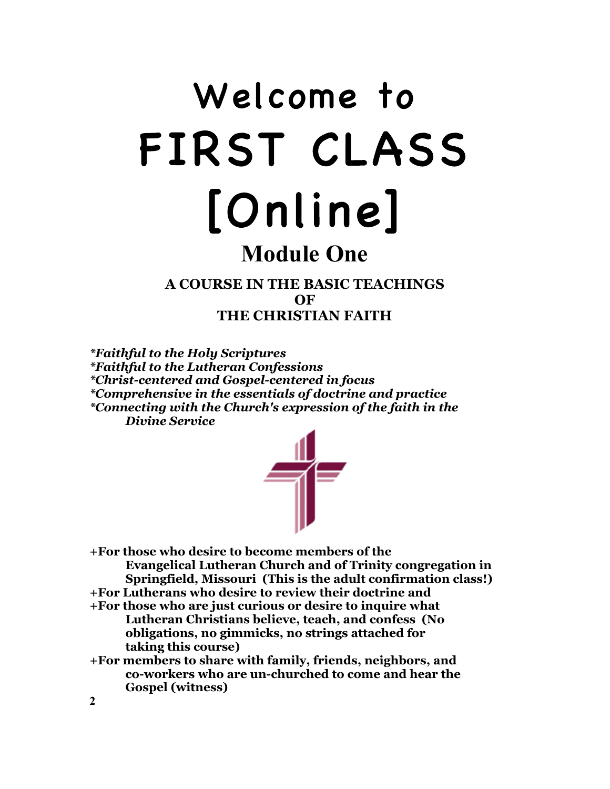# Welcome to FIRST CLASS [Online]

# **Module One**

**A COURSE IN THE BASIC TEACHINGS OF THE CHRISTIAN FAITH**

*\*Faithful to the Holy Scriptures \*Faithful to the Lutheran Confessions \*Christ-centered and Gospel-centered in focus \*Comprehensive in the essentials of doctrine and practice \*Connecting with the Church's expression of the faith in the Divine Service*



**+For those who desire to become members of the Evangelical Lutheran Church and of Trinity congregation in Springfield, Missouri (This is the adult confirmation class!)**

- **+For Lutherans who desire to review their doctrine and**
- **+For those who are just curious or desire to inquire what Lutheran Christians believe, teach, and confess (No obligations, no gimmicks, no strings attached for taking this course)**
- **+For members to share with family, friends, neighbors, and co-workers who are un-churched to come and hear the Gospel (witness)**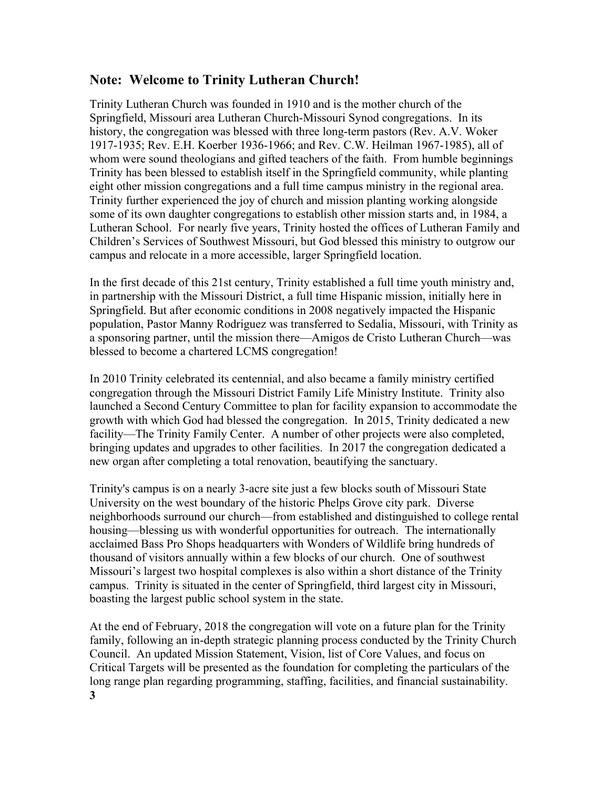# **Note: Welcome to Trinity Lutheran Church!**

Trinity Lutheran Church was founded in 1910 and is the mother church of the Springfield, Missouri area Lutheran Church-Missouri Synod congregations. In its history, the congregation was blessed with three long-term pastors (Rev. A.V. Woker 1917-1935; Rev. E.H. Koerber 1936-1966; and Rev. C.W. Heilman 1967-1985), all of whom were sound theologians and gifted teachers of the faith. From humble beginnings Trinity has been blessed to establish itself in the Springfield community, while planting eight other mission congregations and a full time campus ministry in the regional area. Trinity further experienced the joy of church and mission planting working alongside some of its own daughter congregations to establish other mission starts and, in 1984, a Lutheran School. For nearly five years, Trinity hosted the offices of Lutheran Family and Children's Services of Southwest Missouri, but God blessed this ministry to outgrow our campus and relocate in a more accessible, larger Springfield location.

In the first decade of this 21st century, Trinity established a full time youth ministry and, in partnership with the Missouri District, a full time Hispanic mission, initially here in Springfield. But after economic conditions in 2008 negatively impacted the Hispanic population, Pastor Manny Rodriguez was transferred to Sedalia, Missouri, with Trinity as a sponsoring partner, until the mission there—Amigos de Cristo Lutheran Church—was blessed to become a chartered LCMS congregation!

In 2010 Trinity celebrated its centennial, and also became a family ministry certified congregation through the Missouri District Family Life Ministry Institute. Trinity also launched a Second Century Committee to plan for facility expansion to accommodate the growth with which God had blessed the congregation. In 2015, Trinity dedicated a new facility—The Trinity Family Center. A number of other projects were also completed, bringing updates and upgrades to other facilities. In 2017 the congregation dedicated a new organ after completing a total renovation, beautifying the sanctuary.

Trinity's campus is on a nearly 3-acre site just a few blocks south of Missouri State University on the west boundary of the historic Phelps Grove city park. Diverse neighborhoods surround our church—from established and distinguished to college rental housing—blessing us with wonderful opportunities for outreach. The internationally acclaimed Bass Pro Shops headquarters with Wonders of Wildlife bring hundreds of thousand of visitors annually within a few blocks of our church. One of southwest Missouri's largest two hospital complexes is also within a short distance of the Trinity campus. Trinity is situated in the center of Springfield, third largest city in Missouri, boasting the largest public school system in the state.

At the end of February, 2018 the congregation will vote on a future plan for the Trinity family, following an in-depth strategic planning process conducted by the Trinity Church Council. An updated Mission Statement, Vision, list of Core Values, and focus on Critical Targets will be presented as the foundation for completing the particulars of the long range plan regarding programming, staffing, facilities, and financial sustainability. **3**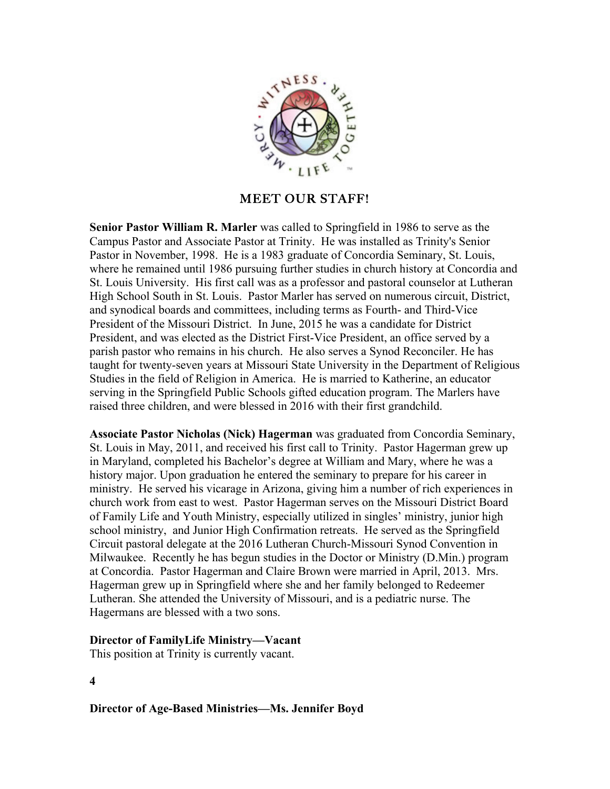

## MEET OUR STAFF!

**Senior Pastor William R. Marler** was called to Springfield in 1986 to serve as the Campus Pastor and Associate Pastor at Trinity. He was installed as Trinity's Senior Pastor in November, 1998. He is a 1983 graduate of Concordia Seminary, St. Louis, where he remained until 1986 pursuing further studies in church history at Concordia and St. Louis University. His first call was as a professor and pastoral counselor at Lutheran High School South in St. Louis. Pastor Marler has served on numerous circuit, District, and synodical boards and committees, including terms as Fourth- and Third-Vice President of the Missouri District. In June, 2015 he was a candidate for District President, and was elected as the District First-Vice President, an office served by a parish pastor who remains in his church. He also serves a Synod Reconciler. He has taught for twenty-seven years at Missouri State University in the Department of Religious Studies in the field of Religion in America. He is married to Katherine, an educator serving in the Springfield Public Schools gifted education program. The Marlers have raised three children, and were blessed in 2016 with their first grandchild.

**Associate Pastor Nicholas (Nick) Hagerman** was graduated from Concordia Seminary, St. Louis in May, 2011, and received his first call to Trinity. Pastor Hagerman grew up in Maryland, completed his Bachelor's degree at William and Mary, where he was a history major. Upon graduation he entered the seminary to prepare for his career in ministry. He served his vicarage in Arizona, giving him a number of rich experiences in church work from east to west. Pastor Hagerman serves on the Missouri District Board of Family Life and Youth Ministry, especially utilized in singles' ministry, junior high school ministry, and Junior High Confirmation retreats. He served as the Springfield Circuit pastoral delegate at the 2016 Lutheran Church-Missouri Synod Convention in Milwaukee. Recently he has begun studies in the Doctor or Ministry (D.Min.) program at Concordia. Pastor Hagerman and Claire Brown were married in April, 2013. Mrs. Hagerman grew up in Springfield where she and her family belonged to Redeemer Lutheran. She attended the University of Missouri, and is a pediatric nurse. The Hagermans are blessed with a two sons.

# **Director of FamilyLife Ministry—Vacant**

This position at Trinity is currently vacant.

**4**

**Director of Age-Based Ministries—Ms. Jennifer Boyd**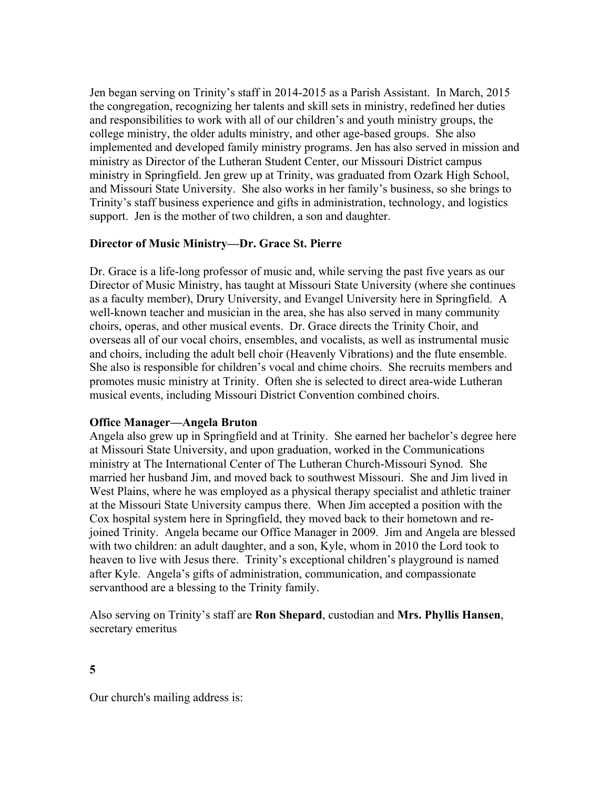Jen began serving on Trinity's staff in 2014-2015 as a Parish Assistant. In March, 2015 the congregation, recognizing her talents and skill sets in ministry, redefined her duties and responsibilities to work with all of our children's and youth ministry groups, the college ministry, the older adults ministry, and other age-based groups. She also implemented and developed family ministry programs. Jen has also served in mission and ministry as Director of the Lutheran Student Center, our Missouri District campus ministry in Springfield. Jen grew up at Trinity, was graduated from Ozark High School, and Missouri State University. She also works in her family's business, so she brings to Trinity's staff business experience and gifts in administration, technology, and logistics support. Jen is the mother of two children, a son and daughter.

#### **Director of Music Ministry—Dr. Grace St. Pierre**

Dr. Grace is a life-long professor of music and, while serving the past five years as our Director of Music Ministry, has taught at Missouri State University (where she continues as a faculty member), Drury University, and Evangel University here in Springfield. A well-known teacher and musician in the area, she has also served in many community choirs, operas, and other musical events. Dr. Grace directs the Trinity Choir, and overseas all of our vocal choirs, ensembles, and vocalists, as well as instrumental music and choirs, including the adult bell choir (Heavenly Vibrations) and the flute ensemble. She also is responsible for children's vocal and chime choirs. She recruits members and promotes music ministry at Trinity. Often she is selected to direct area-wide Lutheran musical events, including Missouri District Convention combined choirs.

#### **Office Manager—Angela Bruton**

Angela also grew up in Springfield and at Trinity. She earned her bachelor's degree here at Missouri State University, and upon graduation, worked in the Communications ministry at The International Center of The Lutheran Church-Missouri Synod. She married her husband Jim, and moved back to southwest Missouri. She and Jim lived in West Plains, where he was employed as a physical therapy specialist and athletic trainer at the Missouri State University campus there. When Jim accepted a position with the Cox hospital system here in Springfield, they moved back to their hometown and rejoined Trinity. Angela became our Office Manager in 2009. Jim and Angela are blessed with two children: an adult daughter, and a son, Kyle, whom in 2010 the Lord took to heaven to live with Jesus there. Trinity's exceptional children's playground is named after Kyle. Angela's gifts of administration, communication, and compassionate servanthood are a blessing to the Trinity family.

Also serving on Trinity's staff are **Ron Shepard**, custodian and **Mrs. Phyllis Hansen**, secretary emeritus

Our church's mailing address is: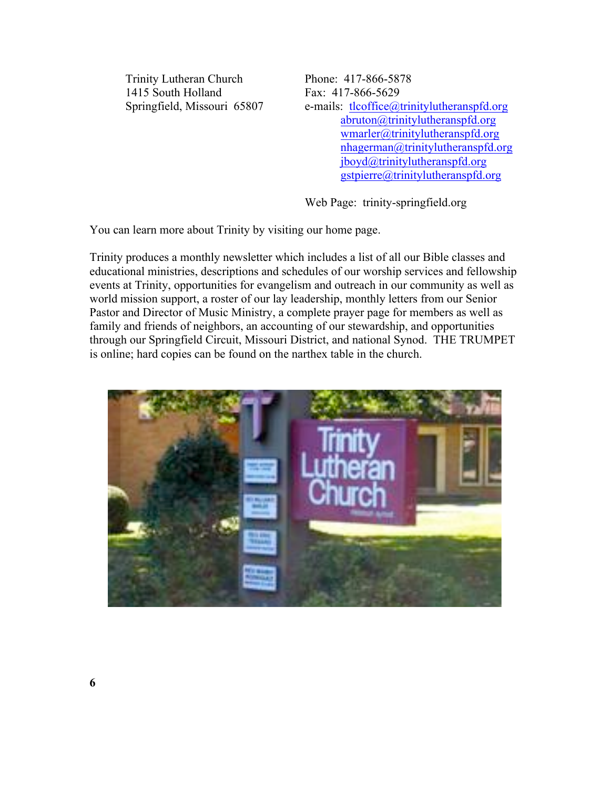Trinity Lutheran Church Phone: 417-866-5878 1415 South Holland Fax: 417-866-5629

Springfield, Missouri 65807 e-mails: tlcoffice@trinitylutheranspfd.org abruton@trinitylutheranspfd.org wmarler@trinitylutheranspfd.org nhagerman@trinitylutheranspfd.org jboyd@trinitylutheranspfd.org gstpierre@trinitylutheranspfd.org

Web Page: trinity-springfield.org

You can learn more about Trinity by visiting our home page.

Trinity produces a monthly newsletter which includes a list of all our Bible classes and educational ministries, descriptions and schedules of our worship services and fellowship events at Trinity, opportunities for evangelism and outreach in our community as well as world mission support, a roster of our lay leadership, monthly letters from our Senior Pastor and Director of Music Ministry, a complete prayer page for members as well as family and friends of neighbors, an accounting of our stewardship, and opportunities through our Springfield Circuit, Missouri District, and national Synod. THE TRUMPET is online; hard copies can be found on the narthex table in the church.

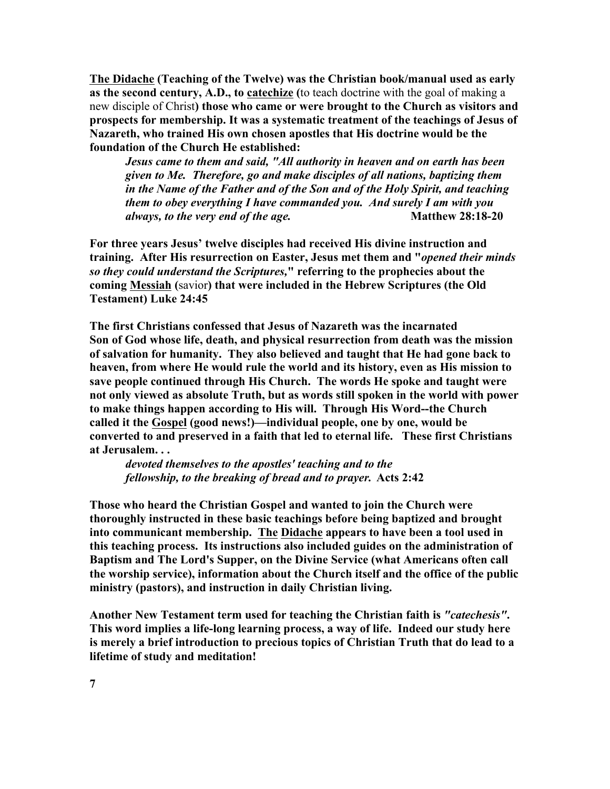**The Didache (Teaching of the Twelve) was the Christian book/manual used as early as the second century, A.D., to catechize (**to teach doctrine with the goal of making a new disciple of Christ**) those who came or were brought to the Church as visitors and prospects for membership. It was a systematic treatment of the teachings of Jesus of Nazareth, who trained His own chosen apostles that His doctrine would be the foundation of the Church He established:**

*Jesus came to them and said, "All authority in heaven and on earth has been given to Me. Therefore, go and make disciples of all nations, baptizing them in the Name of the Father and of the Son and of the Holy Spirit, and teaching them to obey everything I have commanded you. And surely I am with you always, to the very end of the age.* **Matthew 28:18-20** 

**For three years Jesus' twelve disciples had received His divine instruction and training. After His resurrection on Easter, Jesus met them and "***opened their minds so they could understand the Scriptures,***" referring to the prophecies about the coming Messiah (**savior**) that were included in the Hebrew Scriptures (the Old Testament) Luke 24:45** 

**The first Christians confessed that Jesus of Nazareth was the incarnated Son of God whose life, death, and physical resurrection from death was the mission of salvation for humanity. They also believed and taught that He had gone back to heaven, from where He would rule the world and its history, even as His mission to save people continued through His Church. The words He spoke and taught were not only viewed as absolute Truth, but as words still spoken in the world with power to make things happen according to His will. Through His Word--the Church called it the Gospel (good news!)—individual people, one by one, would be converted to and preserved in a faith that led to eternal life. These first Christians at Jerusalem. . .**

*devoted themselves to the apostles' teaching and to the fellowship, to the breaking of bread and to prayer.* **Acts 2:42**

**Those who heard the Christian Gospel and wanted to join the Church were thoroughly instructed in these basic teachings before being baptized and brought into communicant membership. The Didache appears to have been a tool used in this teaching process. Its instructions also included guides on the administration of Baptism and The Lord's Supper, on the Divine Service (what Americans often call the worship service), information about the Church itself and the office of the public ministry (pastors), and instruction in daily Christian living.**

**Another New Testament term used for teaching the Christian faith is** *"catechesis"***. This word implies a life-long learning process, a way of life. Indeed our study here is merely a brief introduction to precious topics of Christian Truth that do lead to a lifetime of study and meditation!**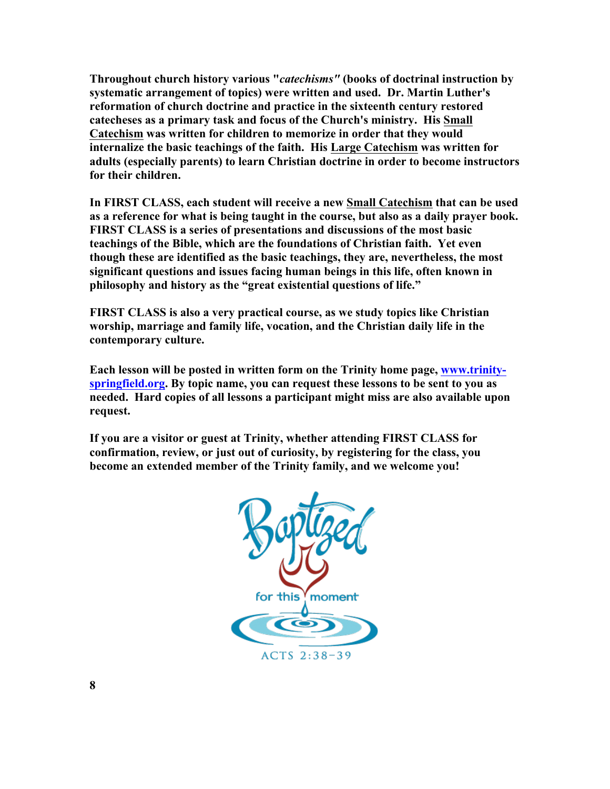**Throughout church history various "***catechisms"* **(books of doctrinal instruction by systematic arrangement of topics) were written and used. Dr. Martin Luther's reformation of church doctrine and practice in the sixteenth century restored catecheses as a primary task and focus of the Church's ministry. His Small Catechism was written for children to memorize in order that they would internalize the basic teachings of the faith. His Large Catechism was written for adults (especially parents) to learn Christian doctrine in order to become instructors for their children.**

**In FIRST CLASS, each student will receive a new Small Catechism that can be used as a reference for what is being taught in the course, but also as a daily prayer book. FIRST CLASS is a series of presentations and discussions of the most basic teachings of the Bible, which are the foundations of Christian faith. Yet even though these are identified as the basic teachings, they are, nevertheless, the most significant questions and issues facing human beings in this life, often known in philosophy and history as the "great existential questions of life."** 

**FIRST CLASS is also a very practical course, as we study topics like Christian worship, marriage and family life, vocation, and the Christian daily life in the contemporary culture.** 

**Each lesson will be posted in written form on the Trinity home page, www.trinityspringfield.org. By topic name, you can request these lessons to be sent to you as needed. Hard copies of all lessons a participant might miss are also available upon request.** 

**If you are a visitor or guest at Trinity, whether attending FIRST CLASS for confirmation, review, or just out of curiosity, by registering for the class, you become an extended member of the Trinity family, and we welcome you!**

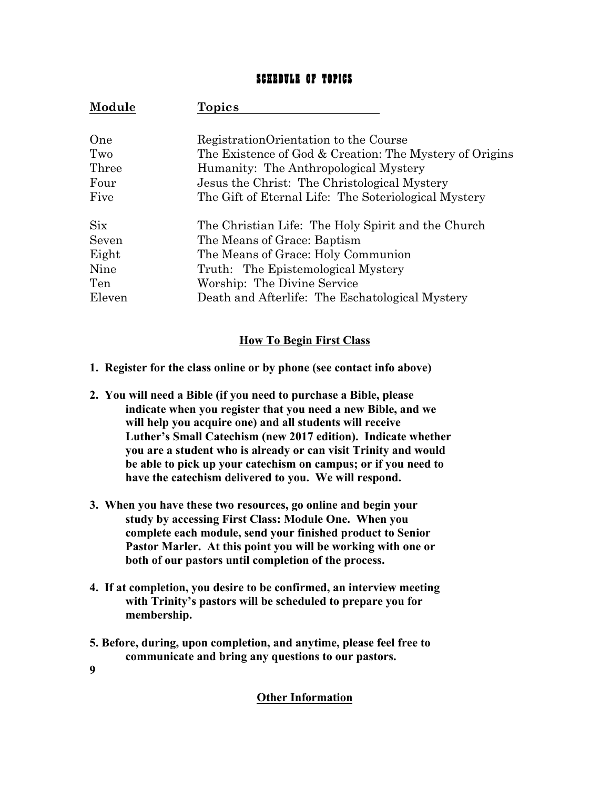# SCHEDULE OF TOPICS

| Module      | Topics                                                  |
|-------------|---------------------------------------------------------|
| One         | Registration Orientation to the Course                  |
| Two         | The Existence of God & Creation: The Mystery of Origins |
| Three       | Humanity: The Anthropological Mystery                   |
| Four        | Jesus the Christ: The Christological Mystery            |
| Five        | The Gift of Eternal Life: The Soteriological Mystery    |
| $\rm {Six}$ | The Christian Life: The Holy Spirit and the Church      |
| Seven       | The Means of Grace: Baptism                             |
| Eight       | The Means of Grace: Holy Communion                      |
| Nine        | Truth: The Epistemological Mystery                      |
| Ten         | Worship: The Divine Service                             |
| Eleven      | Death and Afterlife: The Eschatological Mystery         |

## **How To Begin First Class**

- **1. Register for the class online or by phone (see contact info above)**
- **2. You will need a Bible (if you need to purchase a Bible, please indicate when you register that you need a new Bible, and we will help you acquire one) and all students will receive Luther's Small Catechism (new 2017 edition). Indicate whether you are a student who is already or can visit Trinity and would be able to pick up your catechism on campus; or if you need to have the catechism delivered to you. We will respond.**
- **3. When you have these two resources, go online and begin your study by accessing First Class: Module One. When you complete each module, send your finished product to Senior Pastor Marler. At this point you will be working with one or both of our pastors until completion of the process.**
- **4. If at completion, you desire to be confirmed, an interview meeting with Trinity's pastors will be scheduled to prepare you for membership.**
- **5. Before, during, upon completion, and anytime, please feel free to communicate and bring any questions to our pastors.**
- **9**

#### **Other Information**